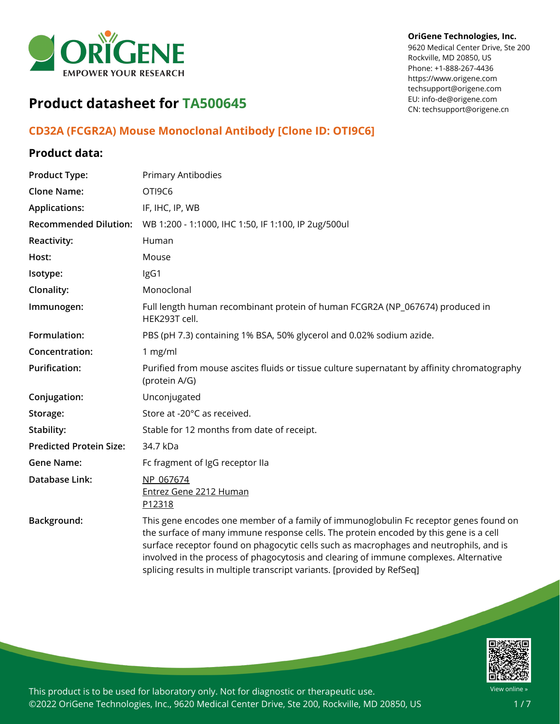

#### **OriGene Technologies, Inc.**

9620 Medical Center Drive, Ste 200 Rockville, MD 20850, US Phone: +1-888-267-4436 https://www.origene.com techsupport@origene.com EU: info-de@origene.com CN: techsupport@origene.cn

# **Product datasheet for TA500645**

## **CD32A (FCGR2A) Mouse Monoclonal Antibody [Clone ID: OTI9C6]**

## **Product data:**

| <b>Product Type:</b>           | <b>Primary Antibodies</b>                                                                                                                                                                                                                                                                                                                                                                                                                   |
|--------------------------------|---------------------------------------------------------------------------------------------------------------------------------------------------------------------------------------------------------------------------------------------------------------------------------------------------------------------------------------------------------------------------------------------------------------------------------------------|
| <b>Clone Name:</b>             | OTI9C6                                                                                                                                                                                                                                                                                                                                                                                                                                      |
| <b>Applications:</b>           | IF, IHC, IP, WB                                                                                                                                                                                                                                                                                                                                                                                                                             |
| <b>Recommended Dilution:</b>   | WB 1:200 - 1:1000, IHC 1:50, IF 1:100, IP 2ug/500ul                                                                                                                                                                                                                                                                                                                                                                                         |
| Reactivity:                    | Human                                                                                                                                                                                                                                                                                                                                                                                                                                       |
| Host:                          | Mouse                                                                                                                                                                                                                                                                                                                                                                                                                                       |
| Isotype:                       | IgG1                                                                                                                                                                                                                                                                                                                                                                                                                                        |
| Clonality:                     | Monoclonal                                                                                                                                                                                                                                                                                                                                                                                                                                  |
| Immunogen:                     | Full length human recombinant protein of human FCGR2A (NP_067674) produced in<br>HEK293T cell.                                                                                                                                                                                                                                                                                                                                              |
| Formulation:                   | PBS (pH 7.3) containing 1% BSA, 50% glycerol and 0.02% sodium azide.                                                                                                                                                                                                                                                                                                                                                                        |
| Concentration:                 | 1 mg/ml                                                                                                                                                                                                                                                                                                                                                                                                                                     |
| <b>Purification:</b>           | Purified from mouse ascites fluids or tissue culture supernatant by affinity chromatography<br>(protein A/G)                                                                                                                                                                                                                                                                                                                                |
| Conjugation:                   | Unconjugated                                                                                                                                                                                                                                                                                                                                                                                                                                |
| Storage:                       | Store at -20°C as received.                                                                                                                                                                                                                                                                                                                                                                                                                 |
| Stability:                     | Stable for 12 months from date of receipt.                                                                                                                                                                                                                                                                                                                                                                                                  |
| <b>Predicted Protein Size:</b> | 34.7 kDa                                                                                                                                                                                                                                                                                                                                                                                                                                    |
| <b>Gene Name:</b>              | Fc fragment of IgG receptor IIa                                                                                                                                                                                                                                                                                                                                                                                                             |
| Database Link:                 | NP 067674<br>Entrez Gene 2212 Human<br>P12318                                                                                                                                                                                                                                                                                                                                                                                               |
| Background:                    | This gene encodes one member of a family of immunoglobulin Fc receptor genes found on<br>the surface of many immune response cells. The protein encoded by this gene is a cell<br>surface receptor found on phagocytic cells such as macrophages and neutrophils, and is<br>involved in the process of phagocytosis and clearing of immune complexes. Alternative<br>splicing results in multiple transcript variants. [provided by RefSeq] |

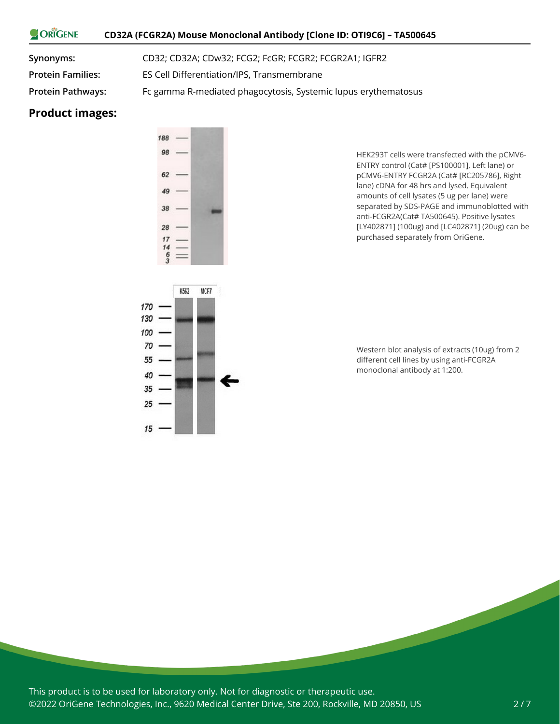#### ORIGENE **CD32A (FCGR2A) Mouse Monoclonal Antibody [Clone ID: OTI9C6] – TA500645**

**Synonyms:** CD32; CD32A; CDw32; FCG2; FcGR; FCGR2; FCGR2A1; IGFR2

**Protein Families:** ES Cell Differentiation/IPS, Transmembrane

**Protein Pathways:** Fc gamma R-mediated phagocytosis, Systemic lupus erythematosus

#### **Product images:**



K562

 $15$ 

MCF7

HEK293T cells were transfected with the pCMV6- ENTRY control (Cat# [PS100001], Left lane) or pCMV6-ENTRY FCGR2A (Cat# [RC205786], Right lane) cDNA for 48 hrs and lysed. Equivalent amounts of cell lysates (5 ug per lane) were separated by SDS-PAGE and immunoblotted with anti-FCGR2A(Cat# TA500645). Positive lysates [LY402871] (100ug) and [LC402871] (20ug) can be purchased separately from OriGene.

Western blot analysis of extracts (10ug) from 2 different cell lines by using anti-FCGR2A monoclonal antibody at 1:200.

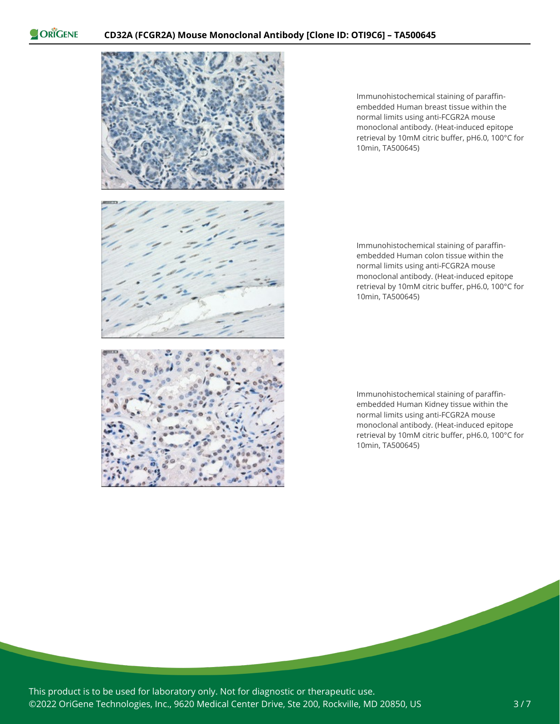

Immunohistochemical staining of paraffinembedded Human breast tissue within the normal limits using anti-FCGR2A mouse monoclonal antibody. (Heat-induced epitope retrieval by 10mM citric buffer, pH6.0, 100°C for 10min, TA500645)

Immunohistochemical staining of paraffinembedded Human colon tissue within the normal limits using anti-FCGR2A mouse monoclonal antibody. (Heat-induced epitope retrieval by 10mM citric buffer, pH6.0, 100°C for 10min, TA500645)

Immunohistochemical staining of paraffinembedded Human Kidney tissue within the normal limits using anti-FCGR2A mouse monoclonal antibody. (Heat-induced epitope retrieval by 10mM citric buffer, pH6.0, 100°C for 10min, TA500645)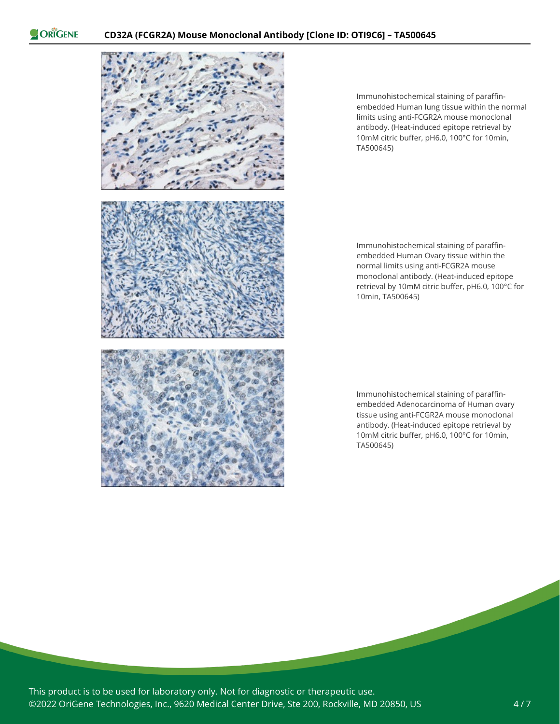

Immunohistochemical staining of paraffinembedded Human lung tissue within the normal limits using anti-FCGR2A mouse monoclonal antibody. (Heat-induced epitope retrieval by 10mM citric buffer, pH6.0, 100°C for 10min, TA500645)

Immunohistochemical staining of paraffinembedded Human Ovary tissue within the normal limits using anti-FCGR2A mouse monoclonal antibody. (Heat-induced epitope retrieval by 10mM citric buffer, pH6.0, 100°C for 10min, TA500645)

Immunohistochemical staining of paraffinembedded Adenocarcinoma of Human ovary tissue using anti-FCGR2A mouse monoclonal antibody. (Heat-induced epitope retrieval by 10mM citric buffer, pH6.0, 100°C for 10min, TA500645)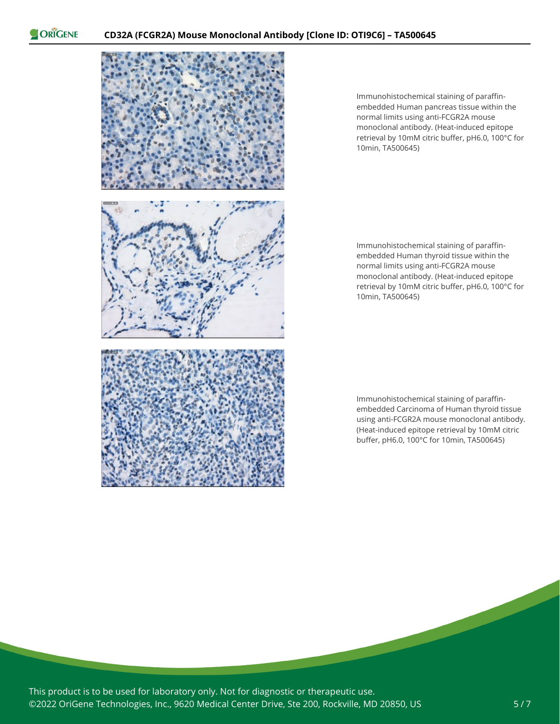

Immunohistochemical staining of paraffinembedded Human pancreas tissue within the normal limits using anti-FCGR2A mouse monoclonal antibody. (Heat-induced epitope retrieval by 10mM citric buffer, pH6.0, 100°C for 10min, TA500645)

Immunohistochemical staining of paraffinembedded Human thyroid tissue within the normal limits using anti-FCGR2A mouse monoclonal antibody. (Heat-induced epitope retrieval by 10mM citric buffer, pH6.0, 100°C for 10min, TA500645)

Immunohistochemical staining of paraffinembedded Carcinoma of Human thyroid tissue using anti-FCGR2A mouse monoclonal antibody. (Heat-induced epitope retrieval by 10mM citric buffer, pH6.0, 100°C for 10min, TA500645)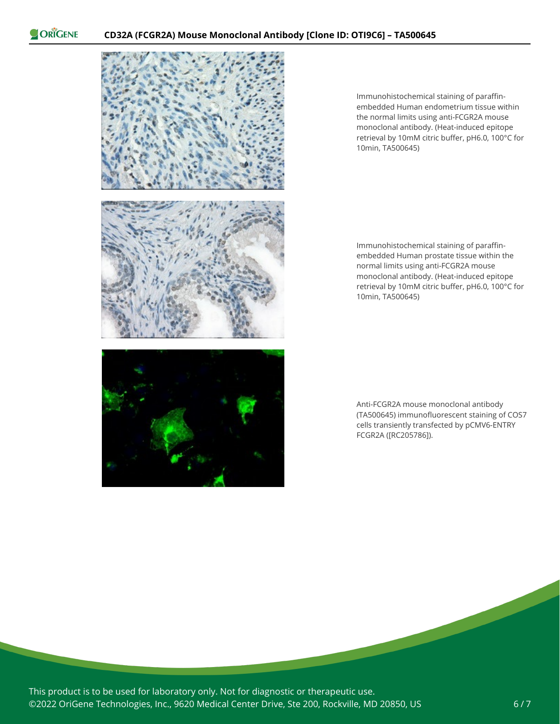

Immunohistochemical staining of paraffinembedded Human endometrium tissue within the normal limits using anti-FCGR2A mouse monoclonal antibody. (Heat-induced epitope retrieval by 10mM citric buffer, pH6.0, 100°C for 10min, TA500645)

Immunohistochemical staining of paraffinembedded Human prostate tissue within the normal limits using anti-FCGR2A mouse monoclonal antibody. (Heat-induced epitope retrieval by 10mM citric buffer, pH6.0, 100°C for 10min, TA500645)

Anti-FCGR2A mouse monoclonal antibody (TA500645) immunofluorescent staining of COS7 cells transiently transfected by pCMV6-ENTRY FCGR2A ([RC205786]).